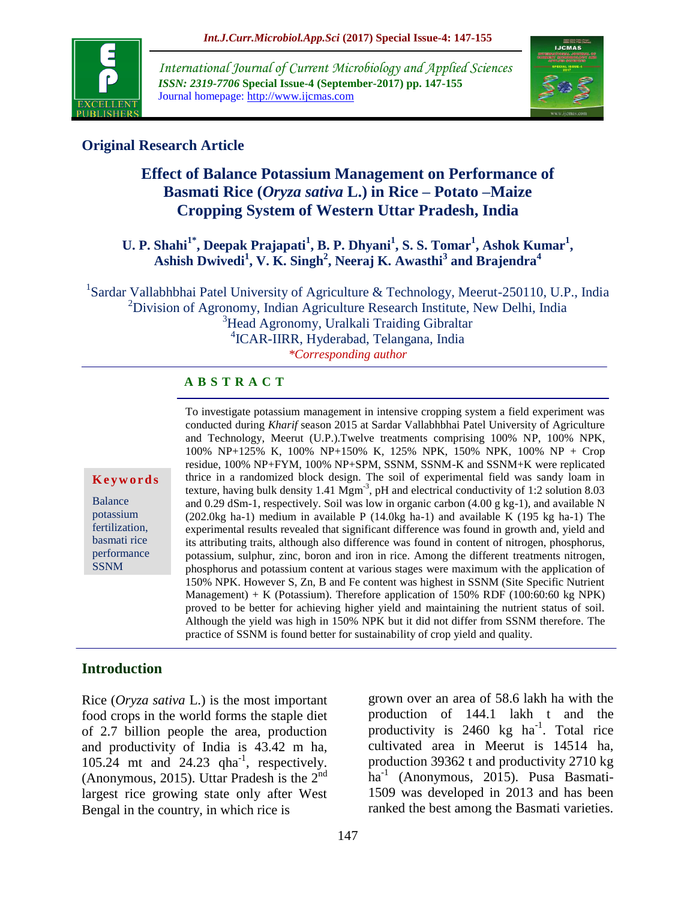

*International Journal of Current Microbiology and Applied Sciences ISSN: 2319-7706* **Special Issue-4 (September-2017) pp. 147-155** Journal homepage: http://www.ijcmas.com



## **Original Research Article**

# **Effect of Balance Potassium Management on Performance of Basmati Rice (***Oryza sativa* **L.) in Rice – Potato –Maize Cropping System of Western Uttar Pradesh, India**

## U. P. Shahi<sup>1\*</sup>, Deepak Prajapati<sup>1</sup>, B. P. Dhyani<sup>1</sup>, S. S. Tomar<sup>1</sup>, Ashok Kumar<sup>1</sup>, **Ashish Dwivedi<sup>1</sup> , V. K. Singh<sup>2</sup> , Neeraj K. Awasthi<sup>3</sup> and Brajendra<sup>4</sup>**

<sup>1</sup>Sardar Vallabhbhai Patel University of Agriculture & Technology, Meerut-250110, U.P., India <sup>2</sup>Division of Agronomy, Indian Agriculture Research Institute, New Delhi, India <sup>3</sup>Head Agronomy, Uralkali Traiding Gibraltar 4 ICAR-IIRR, Hyderabad, Telangana, India *\*Corresponding author*

### **A B S T R A C T**

#### **K e y w o r d s**

Balance potassium fertilization, basmati rice performance SSNM

To investigate potassium management in intensive cropping system a field experiment was conducted during *Kharif* season 2015 at Sardar Vallabhbhai Patel University of Agriculture and Technology, Meerut (U.P.).Twelve treatments comprising 100% NP, 100% NPK, 100% NP+125% K, 100% NP+150% K, 125% NPK, 150% NPK, 100% NP + Crop residue, 100% NP+FYM, 100% NP+SPM, SSNM, SSNM-K and SSNM+K were replicated thrice in a randomized block design. The soil of experimental field was sandy loam in texture, having bulk density  $1.41 \text{ Mgm}^{-3}$ , pH and electrical conductivity of 1:2 solution 8.03 and 0.29 dSm-1, respectively. Soil was low in organic carbon (4.00 g kg-1), and available N (202.0kg ha-1) medium in available P (14.0kg ha-1) and available K (195 kg ha-1) The experimental results revealed that significant difference was found in growth and, yield and its attributing traits, although also difference was found in content of nitrogen, phosphorus, potassium, sulphur, zinc, boron and iron in rice. Among the different treatments nitrogen, phosphorus and potassium content at various stages were maximum with the application of 150% NPK. However S, Zn, B and Fe content was highest in SSNM (Site Specific Nutrient Management) + K (Potassium). Therefore application of 150% RDF (100:60:60 kg NPK) proved to be better for achieving higher yield and maintaining the nutrient status of soil. Although the yield was high in 150% NPK but it did not differ from SSNM therefore. The practice of SSNM is found better for sustainability of crop yield and quality.

## **Introduction**

Rice (*Oryza sativa* L.) is the most important food crops in the world forms the staple diet of 2.7 billion people the area, production and productivity of India is 43.42 m ha, 105.24 mt and 24.23 qha<sup>-1</sup>, respectively. (Anonymous, 2015). Uttar Pradesh is the  $2<sup>nd</sup>$ largest rice growing state only after West Bengal in the country, in which rice is

grown over an area of 58.6 lakh ha with the production of 144.1 lakh t and the productivity is  $2460 \text{ kg}$  ha<sup>-1</sup>. Total rice cultivated area in Meerut is 14514 ha, production 39362 t and productivity 2710 kg ha-1 (Anonymous, 2015). Pusa Basmati-1509 was developed in 2013 and has been ranked the best among the Basmati varieties.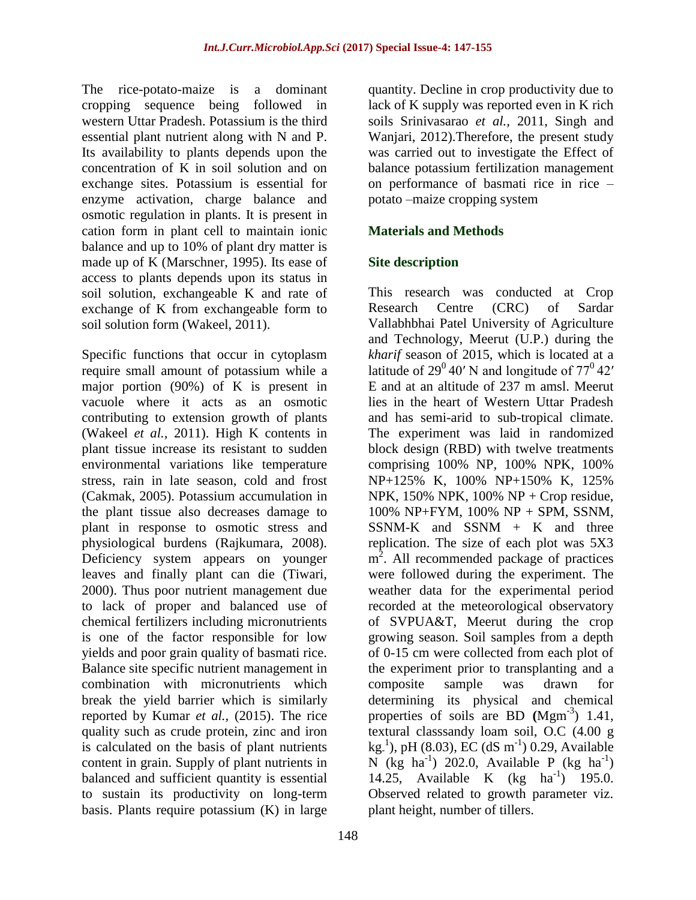The rice-potato-maize is a dominant cropping sequence being followed in western Uttar Pradesh. Potassium is the third essential plant nutrient along with N and P. Its availability to plants depends upon the concentration of K in soil solution and on exchange sites. Potassium is essential for enzyme activation, charge balance and osmotic regulation in plants. It is present in cation form in plant cell to maintain ionic balance and up to 10% of plant dry matter is made up of K (Marschner, 1995). Its ease of access to plants depends upon its status in soil solution, exchangeable K and rate of exchange of K from exchangeable form to soil solution form (Wakeel, 2011).

Specific functions that occur in cytoplasm require small amount of potassium while a major portion (90%) of K is present in vacuole where it acts as an osmotic contributing to extension growth of plants (Wakeel *et al.,* 2011). High K contents in plant tissue increase its resistant to sudden environmental variations like temperature stress, rain in late season, cold and frost (Cakmak, 2005). Potassium accumulation in the plant tissue also decreases damage to plant in response to osmotic stress and physiological burdens (Rajkumara, 2008). Deficiency system appears on younger leaves and finally plant can die (Tiwari, 2000). Thus poor nutrient management due to lack of proper and balanced use of chemical fertilizers including micronutrients is one of the factor responsible for low yields and poor grain quality of basmati rice. Balance site specific nutrient management in combination with micronutrients which break the yield barrier which is similarly reported by Kumar *et al.,* (2015). The rice quality such as crude protein, zinc and iron is calculated on the basis of plant nutrients content in grain. Supply of plant nutrients in balanced and sufficient quantity is essential to sustain its productivity on long-term basis. Plants require potassium (K) in large

148

quantity. Decline in crop productivity due to lack of K supply was reported even in K rich soils Srinivasarao *et al.,* 2011, Singh and Wanjari, 2012).Therefore, the present study was carried out to investigate the Effect of balance potassium fertilization management on performance of basmati rice in rice – potato –maize cropping system

### **Materials and Methods**

### **Site description**

This research was conducted at Crop Research Centre (CRC) of Sardar Vallabhbhai Patel University of Agriculture and Technology, Meerut (U.P.) during the *kharif* season of 2015, which is located at a latitude of  $29^0 40'$  N and longitude of  $77^0 42'$ E and at an altitude of 237 m amsl. Meerut lies in the heart of Western Uttar Pradesh and has semi-arid to sub-tropical climate. The experiment was laid in randomized block design (RBD) with twelve treatments comprising 100% NP, 100% NPK, 100% NP+125% K, 100% NP+150% K, 125% NPK,  $150\%$  NPK,  $100\%$  NP + Crop residue, 100% NP+FYM, 100% NP + SPM, SSNM,  $SSNM-K$  and  $SSNM + K$  and three replication. The size of each plot was 5X3 m<sup>2</sup>. All recommended package of practices were followed during the experiment. The weather data for the experimental period recorded at the meteorological observatory of SVPUA&T, Meerut during the crop growing season. Soil samples from a depth of 0-15 cm were collected from each plot of the experiment prior to transplanting and a composite sample was drawn for determining its physical and chemical properties of soils are BD (Mgm<sup>-3</sup>) 1.41, textural classsandy loam soil, O.C (4.00 g  $kg<sup>-1</sup>$ ), pH (8.03), EC (dS m<sup>-1</sup>) 0.29, Available N (kg ha<sup>-1</sup>) 202.0, Available P (kg ha<sup>-1</sup>) 14.25, Available K (kg ha<sup>-1</sup>) 195.0. Observed related to growth parameter viz. plant height, number of tillers.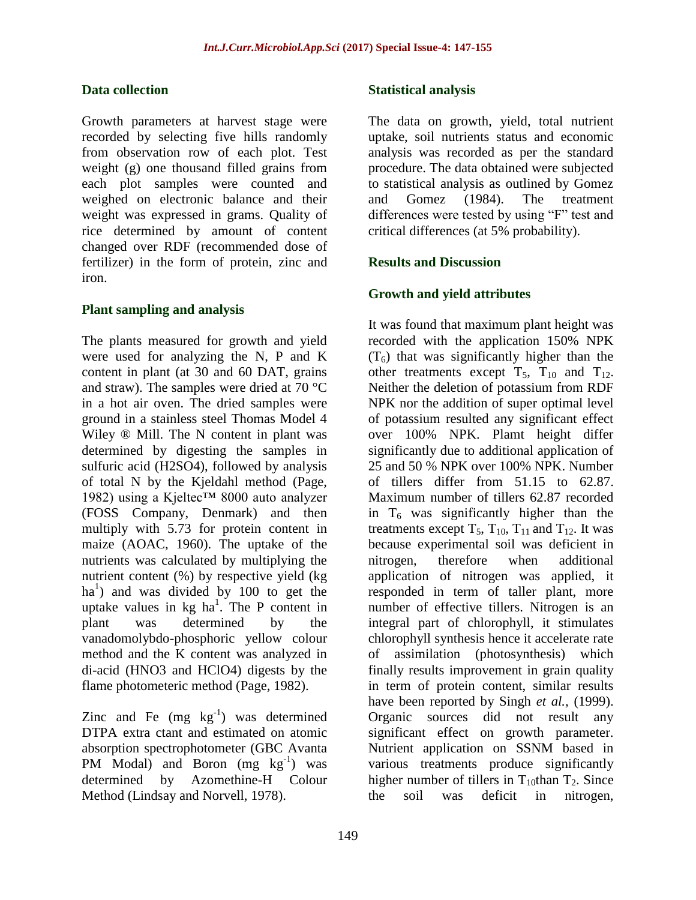#### **Data collection**

Growth parameters at harvest stage were recorded by selecting five hills randomly from observation row of each plot. Test weight (g) one thousand filled grains from each plot samples were counted and weighed on electronic balance and their weight was expressed in grams. Quality of rice determined by amount of content changed over RDF (recommended dose of fertilizer) in the form of protein, zinc and iron.

#### **Plant sampling and analysis**

The plants measured for growth and yield were used for analyzing the N, P and K content in plant (at 30 and 60 DAT, grains and straw). The samples were dried at 70 °C in a hot air oven. The dried samples were ground in a stainless steel Thomas Model 4 Wiley ® Mill. The N content in plant was determined by digesting the samples in sulfuric acid (H2SO4), followed by analysis of total N by the Kjeldahl method (Page, 1982) using a Kjeltec™ 8000 auto analyzer (FOSS Company, Denmark) and then multiply with 5.73 for protein content in maize (AOAC, 1960). The uptake of the nutrients was calculated by multiplying the nutrient content (%) by respective yield (kg ha<sup>1</sup>) and was divided by 100 to get the uptake values in  $kg$  ha<sup>1</sup>. The P content in plant was determined by the vanadomolybdo-phosphoric yellow colour method and the K content was analyzed in di-acid (HNO3 and HClO4) digests by the flame photometeric method (Page, 1982).

Zinc and Fe  $(mg kg^{-1})$  was determined DTPA extra ctant and estimated on atomic absorption spectrophotometer (GBC Avanta PM Modal) and Boron (mg kg<sup>-1</sup>) was determined by Azomethine-H Colour Method (Lindsay and Norvell, 1978).

#### **Statistical analysis**

The data on growth, yield, total nutrient uptake, soil nutrients status and economic analysis was recorded as per the standard procedure. The data obtained were subjected to statistical analysis as outlined by Gomez and Gomez (1984). The treatment differences were tested by using "F" test and critical differences (at 5% probability).

#### **Results and Discussion**

### **Growth and yield attributes**

It was found that maximum plant height was recorded with the application 150% NPK  $(T<sub>6</sub>)$  that was significantly higher than the other treatments except  $T_5$ ,  $T_{10}$  and  $T_{12}$ . Neither the deletion of potassium from RDF NPK nor the addition of super optimal level of potassium resulted any significant effect over 100% NPK. Plamt height differ significantly due to additional application of 25 and 50 % NPK over 100% NPK. Number of tillers differ from 51.15 to 62.87. Maximum number of tillers 62.87 recorded in  $T_6$  was significantly higher than the treatments except  $T_5$ ,  $T_{10}$ ,  $T_{11}$  and  $T_{12}$ . It was because experimental soil was deficient in nitrogen, therefore when additional application of nitrogen was applied, it responded in term of taller plant, more number of effective tillers. Nitrogen is an integral part of chlorophyll, it stimulates chlorophyll synthesis hence it accelerate rate of assimilation (photosynthesis) which finally results improvement in grain quality in term of protein content, similar results have been reported by Singh *et al.,* (1999). Organic sources did not result any significant effect on growth parameter. Nutrient application on SSNM based in various treatments produce significantly higher number of tillers in  $T_{10}$ than  $T_2$ . Since the soil was deficit in nitrogen,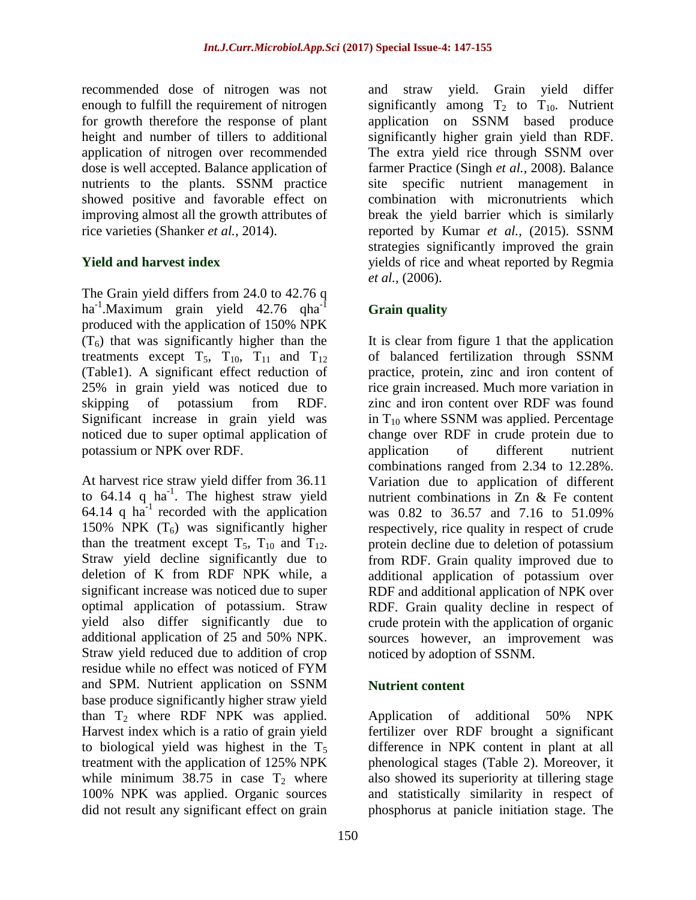recommended dose of nitrogen was not enough to fulfill the requirement of nitrogen for growth therefore the response of plant height and number of tillers to additional application of nitrogen over recommended dose is well accepted. Balance application of nutrients to the plants. SSNM practice showed positive and favorable effect on improving almost all the growth attributes of rice varieties (Shanker *et al.,* 2014).

## **Yield and harvest index**

The Grain yield differs from 24.0 to 42.76 q ha<sup>-1</sup>.Maximum grain yield 42.76 qha<sup>-1</sup> produced with the application of 150% NPK  $(T<sub>6</sub>)$  that was significantly higher than the treatments except  $T_5$ ,  $T_{10}$ ,  $T_{11}$  and  $T_{12}$ (Table1). A significant effect reduction of 25% in grain yield was noticed due to skipping of potassium from RDF. Significant increase in grain yield was noticed due to super optimal application of potassium or NPK over RDF.

At harvest rice straw yield differ from 36.11 to  $64.14$  q ha<sup>-1</sup>. The highest straw yield 64.14 q  $ha^{-1}$  recorded with the application 150% NPK  $(T_6)$  was significantly higher than the treatment except  $T_5$ ,  $T_{10}$  and  $T_{12}$ . Straw yield decline significantly due to deletion of K from RDF NPK while, a significant increase was noticed due to super optimal application of potassium. Straw yield also differ significantly due to additional application of 25 and 50% NPK. Straw yield reduced due to addition of crop residue while no effect was noticed of FYM and SPM. Nutrient application on SSNM base produce significantly higher straw yield than  $T_2$  where RDF NPK was applied. Harvest index which is a ratio of grain yield to biological yield was highest in the  $T<sub>5</sub>$ treatment with the application of 125% NPK while minimum 38.75 in case  $T_2$  where 100% NPK was applied. Organic sources did not result any significant effect on grain

and straw yield. Grain yield differ significantly among  $T_2$  to  $T_{10}$ . Nutrient application on SSNM based produce significantly higher grain yield than RDF. The extra yield rice through SSNM over farmer Practice (Singh *et al.,* 2008). Balance site specific nutrient management in combination with micronutrients which break the yield barrier which is similarly reported by Kumar *et al.,* (2015). SSNM strategies significantly improved the grain yields of rice and wheat reported by Regmia *et al.,* (2006).

# **Grain quality**

It is clear from figure 1 that the application of balanced fertilization through SSNM practice, protein, zinc and iron content of rice grain increased. Much more variation in zinc and iron content over RDF was found in  $T_{10}$  where SSNM was applied. Percentage change over RDF in crude protein due to application of different nutrient combinations ranged from 2.34 to 12.28%. Variation due to application of different nutrient combinations in Zn & Fe content was 0.82 to 36.57 and 7.16 to 51.09% respectively, rice quality in respect of crude protein decline due to deletion of potassium from RDF. Grain quality improved due to additional application of potassium over RDF and additional application of NPK over RDF. Grain quality decline in respect of crude protein with the application of organic sources however, an improvement was noticed by adoption of SSNM.

## **Nutrient content**

Application of additional 50% NPK fertilizer over RDF brought a significant difference in NPK content in plant at all phenological stages (Table 2). Moreover, it also showed its superiority at tillering stage and statistically similarity in respect of phosphorus at panicle initiation stage. The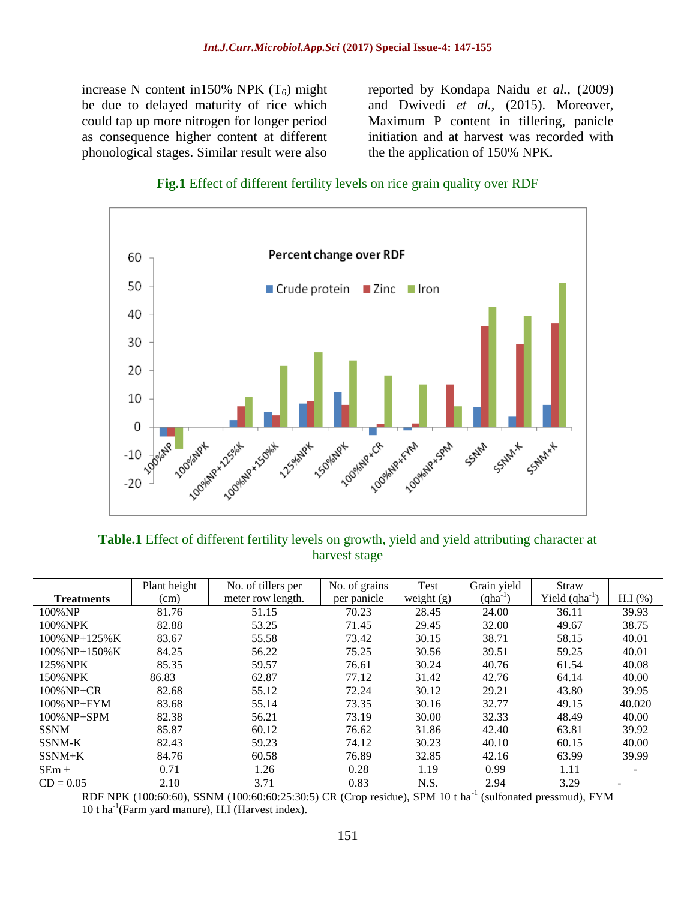increase N content in150% NPK  $(T_6)$  might be due to delayed maturity of rice which could tap up more nitrogen for longer period as consequence higher content at different phonological stages. Similar result were also

reported by Kondapa Naidu *et al.,* (2009) and Dwivedi *et al.,* (2015). Moreover, Maximum P content in tillering, panicle initiation and at harvest was recorded with the the application of 150% NPK.





**Table.1** Effect of different fertility levels on growth, yield and yield attributing character at harvest stage

|                   | Plant height | No. of tillers per | No. of grains | Test         | Grain yield  | Straw              |                          |
|-------------------|--------------|--------------------|---------------|--------------|--------------|--------------------|--------------------------|
| <b>Treatments</b> | (cm)         | meter row length.  | per panicle   | weight $(g)$ | $(qha^{-1})$ | Yield $(qha^{-1})$ | $H.I$ (%)                |
| 100% NP           | 81.76        | 51.15              | 70.23         | 28.45        | 24.00        | 36.11              | 39.93                    |
| 100% NPK          | 82.88        | 53.25              | 71.45         | 29.45        | 32.00        | 49.67              | 38.75                    |
| $100\%$ NP+125% K | 83.67        | 55.58              | 73.42         | 30.15        | 38.71        | 58.15              | 40.01                    |
| $100\%$ NP+150% K | 84.25        | 56.22              | 75.25         | 30.56        | 39.51        | 59.25              | 40.01                    |
| 125%NPK           | 85.35        | 59.57              | 76.61         | 30.24        | 40.76        | 61.54              | 40.08                    |
| 150%NPK           | 86.83        | 62.87              | 77.12         | 31.42        | 42.76        | 64.14              | 40.00                    |
| $100\%$ NP+CR     | 82.68        | 55.12              | 72.24         | 30.12        | 29.21        | 43.80              | 39.95                    |
| $100\%$ NP+FYM    | 83.68        | 55.14              | 73.35         | 30.16        | 32.77        | 49.15              | 40.020                   |
| $100\%$ NP+SPM    | 82.38        | 56.21              | 73.19         | 30.00        | 32.33        | 48.49              | 40.00                    |
| <b>SSNM</b>       | 85.87        | 60.12              | 76.62         | 31.86        | 42.40        | 63.81              | 39.92                    |
| SSNM-K            | 82.43        | 59.23              | 74.12         | 30.23        | 40.10        | 60.15              | 40.00                    |
| $SSNM+K$          | 84.76        | 60.58              | 76.89         | 32.85        | 42.16        | 63.99              | 39.99                    |
| $SEm \pm$         | 0.71         | 1.26               | 0.28          | 1.19         | 0.99         | 1.11               |                          |
| $CD = 0.05$       | 2.10         | 3.71               | 0.83          | N.S.         | 2.94         | 3.29               | $\overline{\phantom{0}}$ |

RDF NPK (100:60:60), SSNM (100:60:60:25:30:5) CR (Crop residue), SPM 10 t ha<sup>-1</sup> (sulfonated pressmud), FYM 10 t ha-1 (Farm yard manure), H.I (Harvest index).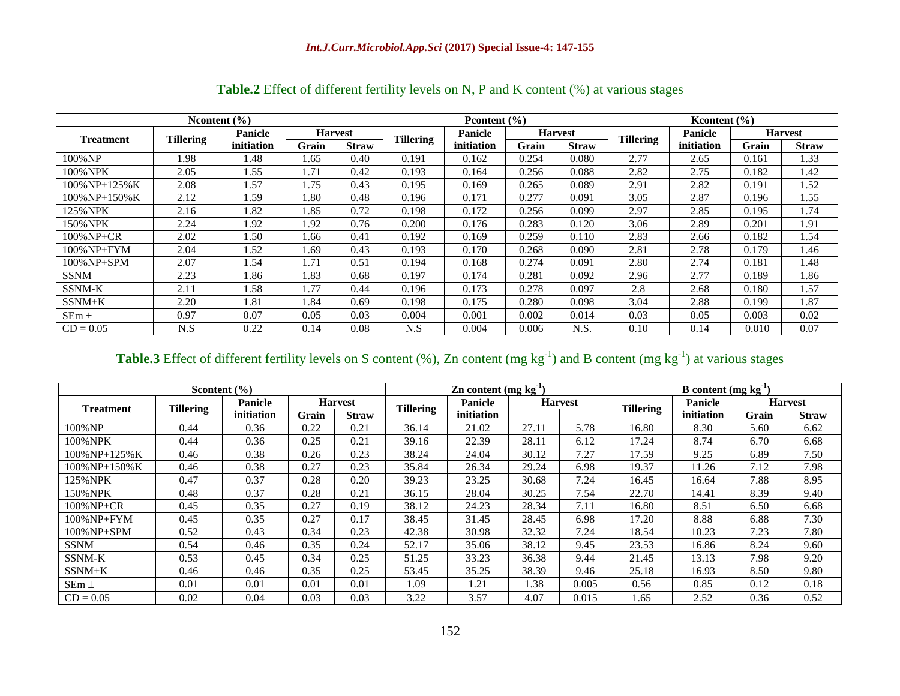| Nontent $(\% )$  |                  |                |                | Prontent $(\% )$ |                  |                |                | Kcontent $(\% )$ |                  |                |                |              |
|------------------|------------------|----------------|----------------|------------------|------------------|----------------|----------------|------------------|------------------|----------------|----------------|--------------|
| <b>Treatment</b> | <b>Tillering</b> | <b>Panicle</b> | <b>Harvest</b> |                  |                  | <b>Panicle</b> | <b>Harvest</b> |                  | <b>Tillering</b> | <b>Panicle</b> | <b>Harvest</b> |              |
|                  |                  | initiation     | Grain          | <b>Straw</b>     | <b>Tillering</b> | initiation     | Grain          | <b>Straw</b>     |                  | initiation     | Grain          | <b>Straw</b> |
| 100%NP           | l.98             | 1.48           | 1.65           | 0.40             | 0.191            | 0.162          | 0.254          | 0.080            | 2.77             | 2.65           | 0.161          | 1.33         |
| 100%NPK          | 2.05             | 1.55           | 1.71           | 0.42             | 0.193            | 0.164          | 0.256          | 0.088            | 2.82             | 2.75           | 0.182          | 1.42         |
| 100%NP+125%K     | 2.08             | 1.57           | 1.75           | 0.43             | 0.195            | 0.169          | 0.265          | 0.089            | 2.91             | 2.82           | 0.191          | l.52         |
| 100%NP+150%K     | 2.12             | 1.59           | . 80           | 0.48             | 0.196            | 0.171          | 0.277          | 0.091            | 3.05             | 2.87           | 0.196          | L.55         |
| 125%NPK          | 2.16             | 1.82           | 1.85           | 0.72             | 0.198            | 0.172          | 0.256          | 0.099            | 2.97             | 2.85           | 0.195          | 1.74         |
| 150%NPK          | 2.24             | 1.92           | 1.92           | 0.76             | 0.200            | 0.176          | 0.283          | 0.120            | 3.06             | 2.89           | 0.201          | 1.91         |
| 100%NP+CR        | 2.02             | 1.50           | 1.66           | 0.41             | 0.192            | 0.169          | 0.259          | 0.110            | 2.83             | 2.66           | 0.182          | l.54         |
| 100%NP+FYM       | 2.04             | 1.52           | . .69          | 0.43             | 0.193            | 0.170          | 0.268          | 0.090            | 2.81             | 2.78           | 0.179          | l.46         |
| 100%NP+SPM       | 2.07             | 1.54           | 1.71           | 0.51             | 0.194            | 0.168          | 0.274          | 0.091            | 2.80             | 2.74           | 0.181          | 1.48         |
| <b>SSNM</b>      | 2.23             | 1.86           | .83            | 0.68             | 0.197            | 0.174          | 0.281          | 0.092            | 2.96             | 2.77           | 0.189          | l.86         |
| SSNM-K           | 2.11             | 1.58           | 1.77           | 0.44             | 0.196            | 0.173          | 0.278          | 0.097            | 2.8              | 2.68           | 0.180          | <b>.57</b>   |
| $SSNM+K$         | 2.20             | 1.81           | 1.84           | 0.69             | 0.198            | 0.175          | 0.280          | 0.098            | 3.04             | 2.88           | 0.199          | 1.87         |
| $SEm \pm$        | 0.97             | 0.07           | 0.05           | 0.03             | 0.004            | 0.001          | 0.002          | 0.014            | 0.03             | 0.05           | 0.003          | 0.02         |
| $CD = 0.05$      | N.S              | 0.22           | 0.14           | 0.08             | N.S              | 0.004          | 0.006          | N.S.             | 0.10             | 0.14           | 0.010          | 0.07         |

## **Table.2** Effect of different fertility levels on N, P and K content (%) at various stages

## **Table.3** Effect of different fertility levels on S content  $(\%)$ , Zn content  $(mg kg^{-1})$  and B content  $(mg kg^{-1})$  at various stages

| Scontent $(\% )$  |                  |                           |       | $\mathbf{Z}$ n content (mg kg <sup>-1</sup> ) |                  |            |                | <b>B</b> content $(mg kg^{-1})$ |                  |                |                |              |
|-------------------|------------------|---------------------------|-------|-----------------------------------------------|------------------|------------|----------------|---------------------------------|------------------|----------------|----------------|--------------|
| <b>Treatment</b>  | <b>Tillering</b> | Panicle<br><b>Harvest</b> |       |                                               | <b>Tillering</b> | Panicle    | <b>Harvest</b> |                                 | <b>Tillering</b> | <b>Panicle</b> | <b>Harvest</b> |              |
|                   |                  | initiation                | Grain | <b>Straw</b>                                  |                  | initiation |                |                                 |                  | initiation     | Grain          | <b>Straw</b> |
| 100% NP           | 0.44             | 0.36                      | 0.22  | 0.21                                          | 36.14            | 21.02      | 27.11          | 5.78                            | 16.80            | 8.30           | 5.60           | 6.62         |
| 100% NPK          | 0.44             | 0.36                      | 0.25  | 0.21                                          | 39.16            | 22.39      | 28.11          | 6.12                            | 17.24            | 8.74           | 6.70           | 6.68         |
| $100\%$ NP+125% K | 0.46             | 0.38                      | 0.26  | 0.23                                          | 38.24            | 24.04      | 30.12          | 7.27                            | 17.59            | 9.25           | 6.89           | 7.50         |
| 100% NP+150% K    | 0.46             | 0.38                      | 0.27  | 0.23                                          | 35.84            | 26.34      | 29.24          | 6.98                            | 19.37            | 1.26           | 7.12           | 7.98         |
| 125%NPK           | 0.47             | 0.37                      | 0.28  | 0.20                                          | 39.23            | 23.25      | 30.68          | 7.24                            | 16.45            | 16.64          | 7.88           | 8.95         |
| 150% NPK          | 0.48             | 0.37                      | 0.28  | 0.21                                          | 36.15            | 28.04      | 30.25          | 7.54                            | 22.70            | 14.41          | 8.39           | 9.40         |
| $100\%$ NP+CR     | 0.45             | 0.35                      | 0.27  | 0.19                                          | 38.12            | 24.23      | 28.34          | 7.11                            | 16.80            | 8.51           | 6.50           | 6.68         |
| $100\%$ NP+FYM    | 0.45             | 0.35                      | 0.27  | 0.17                                          | 38.45            | 31.45      | 28.45          | 6.98                            | 17.20            | 8.88           | 6.88           | 7.30         |
| $100\%$ NP+SPM    | 0.52             | 0.43                      | 0.34  | 0.23                                          | 42.38            | 30.98      | 32.32          | 7.24                            | 18.54            | 10.23          | 7.23           | 7.80         |
| <b>SSNM</b>       | 0.54             | 0.46                      | 0.35  | 0.24                                          | 52.17            | 35.06      | 38.12          | 9.45                            | 23.53            | 16.86          | 8.24           | 9.60         |
| SSNM-K            | 0.53             | 0.45                      | 0.34  | 0.25                                          | 51.25            | 33.23      | 36.38          | 9.44                            | 21.45            | 13.13          | 7.98           | 9.20         |
| $SSNM+K$          | 0.46             | 0.46                      | 0.35  | 0.25                                          | 53.45            | 35.25      | 38.39          | 9.46                            | 25.18            | 16.93          | 8.50           | 9.80         |
| $SEm \pm$         | 0.01             | 0.01                      | 0.01  | 0.01                                          | 1.09             | 1.21       | 1.38           | 0.005                           | 0.56             | 0.85           | 0.12           | 0.18         |
| $CD = 0.05$       | 0.02             | 0.04                      | 0.03  | 0.03                                          | 3.22             | 3.57       | 4.07           | 0.015                           | 1.65             | 2.52           | 0.36           | 0.52         |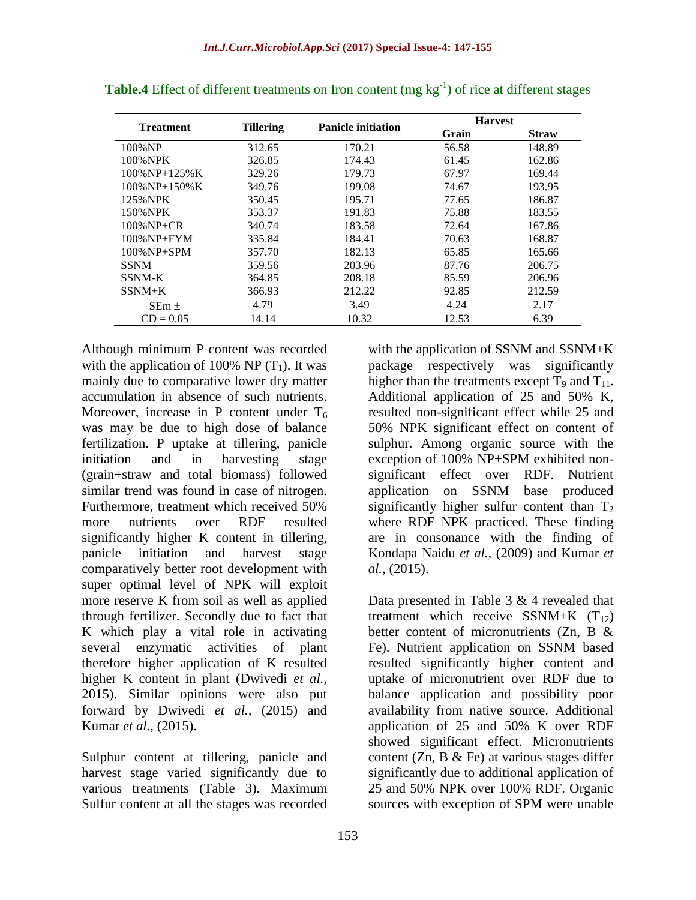|                    |                  |                           | <b>Harvest</b> |              |
|--------------------|------------------|---------------------------|----------------|--------------|
| <b>Treatment</b>   | <b>Tillering</b> | <b>Panicle initiation</b> | Grain          | <b>Straw</b> |
| 100% NP            | 312.65           | 170.21                    | 56.58          | 148.89       |
| 100%NPK            | 326.85           | 174.43                    | 61.45          | 162.86       |
| $100\%$ NP+125% K  | 329.26           | 179.73                    | 67.97          | 169.44       |
| $100\%$ NP+150% K  | 349.76           | 199.08                    | 74.67          | 193.95       |
| 125%NPK            | 350.45           | 195.71                    | 77.65          | 186.87       |
| 150%NPK            | 353.37           | 191.83                    | 75.88          | 183.55       |
| $100\%$ NP+CR      | 340.74           | 183.58                    | 72.64          | 167.86       |
| $100\%$ NP+FYM     | 335.84           | 184.41                    | 70.63          | 168.87       |
| $100\%$ NP $+$ SPM | 357.70           | 182.13                    | 65.85          | 165.66       |
| <b>SSNM</b>        | 359.56           | 203.96                    | 87.76          | 206.75       |
| SSNM-K             | 364.85           | 208.18                    | 85.59          | 206.96       |
| $SSNM+K$           | 366.93           | 212.22                    | 92.85          | 212.59       |
| $SEm \pm$          | 4.79             | 3.49                      | 4.24           | 2.17         |
| $CD = 0.05$        | 14.14            | 10.32                     | 12.53          | 6.39         |

**Table.4** Effect of different treatments on Iron content (mg kg<sup>-1</sup>) of rice at different stages

Although minimum P content was recorded with the application of 100% NP  $(T_1)$ . It was mainly due to comparative lower dry matter accumulation in absence of such nutrients. Moreover, increase in P content under  $T_6$ was may be due to high dose of balance fertilization. P uptake at tillering, panicle initiation and in harvesting stage (grain+straw and total biomass) followed similar trend was found in case of nitrogen. Furthermore, treatment which received 50% more nutrients over RDF resulted significantly higher K content in tillering, panicle initiation and harvest stage comparatively better root development with super optimal level of NPK will exploit more reserve K from soil as well as applied through fertilizer. Secondly due to fact that K which play a vital role in activating several enzymatic activities of plant therefore higher application of K resulted higher K content in plant (Dwivedi *et al.,* 2015). Similar opinions were also put forward by Dwivedi *et al.,* (2015) and Kumar *et al.,* (2015).

Sulphur content at tillering, panicle and harvest stage varied significantly due to various treatments (Table 3). Maximum Sulfur content at all the stages was recorded

with the application of SSNM and SSNM+K package respectively was significantly higher than the treatments except  $T_9$  and  $T_{11}$ . Additional application of 25 and 50% K, resulted non-significant effect while 25 and 50% NPK significant effect on content of sulphur. Among organic source with the exception of 100% NP+SPM exhibited nonsignificant effect over RDF. Nutrient application on SSNM base produced significantly higher sulfur content than  $T_2$ where RDF NPK practiced. These finding are in consonance with the finding of Kondapa Naidu *et al.,* (2009) and Kumar *et al.,* (2015).

Data presented in Table 3 & 4 revealed that treatment which receive SSNM+K  $(T_{12})$ better content of micronutrients (Zn, B & Fe). Nutrient application on SSNM based resulted significantly higher content and uptake of micronutrient over RDF due to balance application and possibility poor availability from native source. Additional application of 25 and 50% K over RDF showed significant effect. Micronutrients content (Zn, B  $\&$  Fe) at various stages differ significantly due to additional application of 25 and 50% NPK over 100% RDF. Organic sources with exception of SPM were unable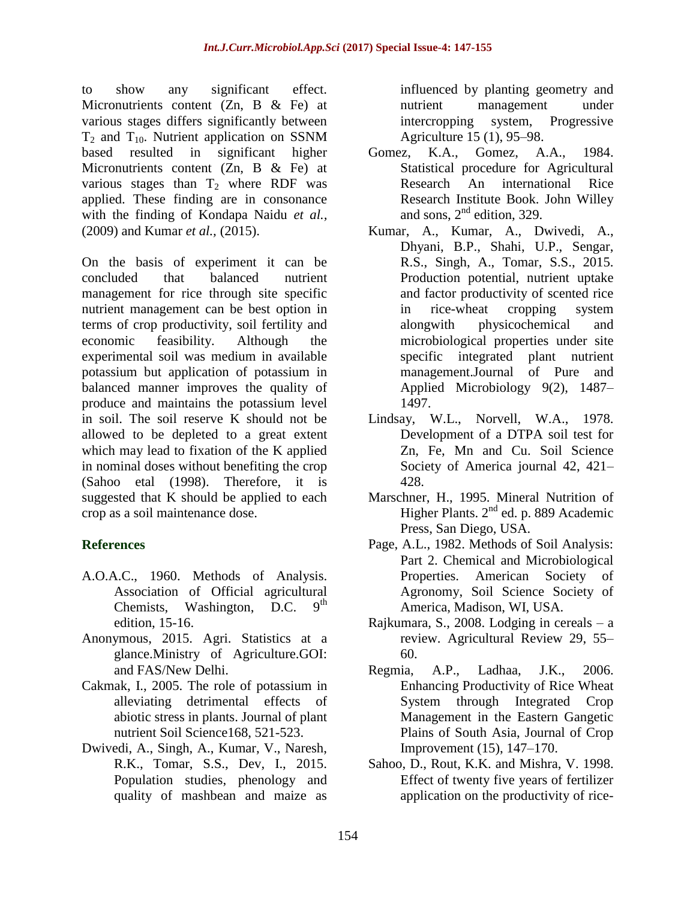to show any significant effect. Micronutrients content (Zn, B & Fe) at various stages differs significantly between  $T_2$  and  $T_{10}$ . Nutrient application on SSNM based resulted in significant higher Micronutrients content (Zn, B & Fe) at various stages than  $T_2$  where RDF was applied. These finding are in consonance with the finding of Kondapa Naidu *et al.,* (2009) and Kumar *et al.,* (2015).

On the basis of experiment it can be concluded that balanced nutrient management for rice through site specific nutrient management can be best option in terms of crop productivity, soil fertility and economic feasibility. Although the experimental soil was medium in available potassium but application of potassium in balanced manner improves the quality of produce and maintains the potassium level in soil. The soil reserve K should not be allowed to be depleted to a great extent which may lead to fixation of the K applied in nominal doses without benefiting the crop (Sahoo etal (1998). Therefore, it is suggested that K should be applied to each crop as a soil maintenance dose.

## **References**

- A.O.A.C., 1960. Methods of Analysis. Association of Official agricultural Chemists, Washington, D.C.  $9<sup>th</sup>$ edition, 15-16.
- Anonymous, 2015. Agri. Statistics at a glance.Ministry of Agriculture.GOI: and FAS/New Delhi.
- Cakmak, I., 2005. The role of potassium in alleviating detrimental effects of abiotic stress in plants. Journal of plant nutrient Soil Science168, 521-523.
- Dwivedi, A., Singh, A., Kumar, V., Naresh, R.K., Tomar, S.S., Dev, I., 2015. Population studies, phenology and quality of mashbean and maize as

influenced by planting geometry and nutrient management under intercropping system, Progressive Agriculture 15 (1), 95–98.

- Gomez, K.A., Gomez, A.A., 1984. Statistical procedure for Agricultural Research An international Rice Research Institute Book. John Willey and sons,  $2<sup>nd</sup>$  edition, 329.
- Kumar, A., Kumar, A., Dwivedi, A., Dhyani, B.P., Shahi, U.P., Sengar, R.S., Singh, A., Tomar, S.S., 2015. Production potential, nutrient uptake and factor productivity of scented rice in rice-wheat cropping system alongwith physicochemical and microbiological properties under site specific integrated plant nutrient management.Journal of Pure and Applied Microbiology 9(2), 1487– 1497.
- Lindsay, W.L., Norvell, W.A., 1978. Development of a DTPA soil test for Zn, Fe, Mn and Cu. Soil Science Society of America journal 42, 421– 428.
- Marschner, H., 1995. Mineral Nutrition of Higher Plants. 2<sup>nd</sup> ed. p. 889 Academic Press, San Diego, USA.
- Page, A.L., 1982. Methods of Soil Analysis: Part 2. Chemical and Microbiological Properties. American Society of Agronomy, Soil Science Society of America, Madison, WI, USA.
- Rajkumara, S., 2008. Lodging in cereals a review. Agricultural Review 29, 55– 60.
- Regmia, A.P., Ladhaa, J.K., 2006. Enhancing Productivity of Rice Wheat System through Integrated Crop Management in the Eastern Gangetic Plains of South Asia, Journal of Crop Improvement (15), 147–170.
- Sahoo, D., Rout, K.K. and Mishra, V. 1998. Effect of twenty five years of fertilizer application on the productivity of rice-